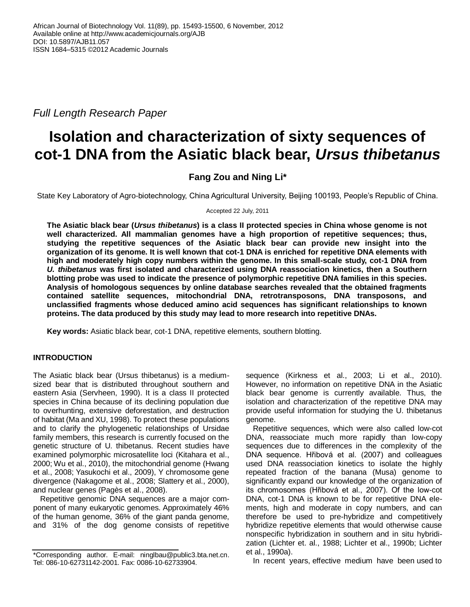*Full Length Research Paper*

# **Isolation and characterization of sixty sequences of cot-1 DNA from the Asiatic black bear,** *Ursus thibetanus*

# **Fang Zou and Ning Li\***

State Key Laboratory of Agro-biotechnology, China Agricultural University, Beijing 100193, People's Republic of China.

Accepted 22 July, 2011

**The Asiatic black bear (***Ursus thibetanus***) is a class II protected species in China whose genome is not well characterized. All mammalian genomes have a high proportion of repetitive sequences; thus, studying the repetitive sequences of the Asiatic black bear can provide new insight into the organization of its genome. It is well known that cot-1 DNA is enriched for repetitive DNA elements with high and moderately high copy numbers within the genome. In this small-scale study, cot-1 DNA from**  *U. thibetanus* **was first isolated and characterized using DNA reassociation kinetics, then a Southern blotting probe was used to indicate the presence of polymorphic repetitive DNA families in this species. Analysis of homologous sequences by online database searches revealed that the obtained fragments contained satellite sequences, mitochondrial DNA, retrotransposons, DNA transposons, and unclassified fragments whose deduced amino acid sequences has significant relationships to known proteins. The data produced by this study may lead to more research into repetitive DNAs.**

**Key words:** Asiatic black bear, cot-1 DNA, repetitive elements, southern blotting.

# **INTRODUCTION**

The Asiatic black bear (Ursus thibetanus) is a mediumsized bear that is distributed throughout southern and eastern Asia (Servheen, 1990). It is a class II protected species in China because of its declining population due to overhunting, extensive deforestation, and destruction of habitat (Ma and XU, 1998). To protect these populations and to clarify the phylogenetic relationships of Ursidae family members, this research is currently focused on the genetic structure of U. thibetanus. Recent studies have examined polymorphic microsatellite loci (Kitahara et al., 2000; Wu et al., 2010), the mitochondrial genome (Hwang et al., 2008; Yasukochi et al., 2009), Y chromosome gene divergence (Nakagome et al., 2008; Slattery et al., 2000), and nuclear genes (Pagès et al., 2008).

Repetitive genomic DNA sequences are a major component of many eukaryotic genomes. Approximately 46% of the human genome, 36% of the giant panda genome, and 31% of the dog genome consists of repetitive sequence (Kirkness et al., 2003; Li et al., 2010). However, no information on repetitive DNA in the Asiatic black bear genome is currently available. Thus, the isolation and characterization of the repetitive DNA may provide useful information for studying the U. thibetanus genome.

Repetitive sequences, which were also called low-cot DNA, reassociate much more rapidly than low-copy sequences due to differences in the complexity of the DNA sequence. Hřibová et al. (2007) and colleagues used DNA reassociation kinetics to isolate the highly repeated fraction of the banana (Musa) genome to significantly expand our knowledge of the organization of its chromosomes (Hřibová et al., 2007). Of the low-cot DNA, cot-1 DNA is known to be for repetitive DNA elements, high and moderate in copy numbers, and can therefore be used to pre-hybridize and competitively hybridize repetitive elements that would otherwise cause nonspecific hybridization in southern and in situ hybridization (Lichter et. al., 1988; Lichter et al., 1990b; Lichter et al., 1990a).

In recent years, effective medium have been used to

<sup>\*</sup>Corresponding author. E-mail: ninglbau@public3.bta.net.cn. Tel: 086-10-62731142-2001. Fax: 0086-10-62733904.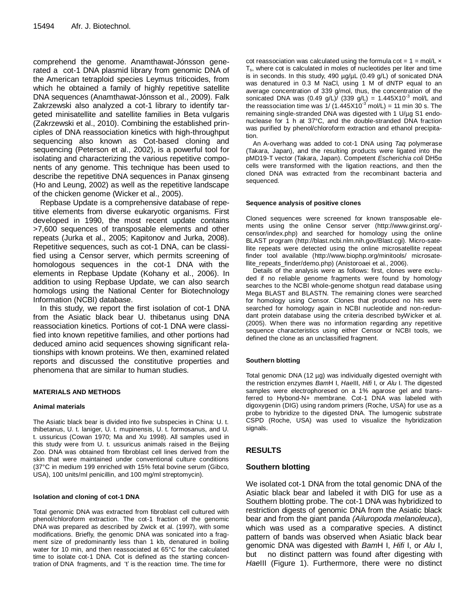comprehend the genome. Anamthawat-Jónsson generated a cot-1 DNA plasmid library from genomic DNA of the American tetraploid species Leymus triticoides, from which he obtained a family of highly repetitive satellite DNA sequences (Anamthawat-Jónsson et al., 2009). Falk Zakrzewski also analyzed a cot-1 library to identify targeted minisatellite and satellite families in Beta vulgaris (Zakrzewski et al., 2010). Combining the established principles of DNA reassociation kinetics with high-throughput sequencing also known as Cot-based cloning and sequencing (Peterson et al., 2002), is a powerful tool for isolating and characterizing the various repetitive components of any genome. This technique has been used to describe the repetitive DNA sequences in Panax ginseng (Ho and Leung, 2002) as well as the repetitive landscape of the chicken genome (Wicker et al., 2005).

Repbase Update is a comprehensive database of repetitive elements from diverse eukaryotic organisms. First developed in 1990, the most recent update contains >7,600 sequences of transposable elements and other repeats (Jurka et al., 2005; Kapitonov and Jurka, 2008). Repetitive sequences, such as cot-1 DNA, can be classified using a Censor server, which permits screening of homologous sequences in the cot-1 DNA with the elements in Repbase Update (Kohany et al., 2006). In addition to using Repbase Update, we can also search homologs using the National Center for Biotechnology Information (NCBI) database.

In this study, we report the first isolation of cot-1 DNA from the Asiatic black bear U. thibetanus using DNA reassociation kinetics. Portions of cot-1 DNA were classified into known repetitive families, and other portions had deduced amino acid sequences showing significant relationships with known proteins. We then, examined related reports and discussed the constitutive properties and phenomena that are similar to human studies.

# **MATERIALS AND METHODS**

# **Animal materials**

The Asiatic black bear is divided into five subspecies in China: U. t. thibetanus, U. t. laniger, U. t. mupinensis, U. t. formosanus, and U. t. ussuricus (Cowan 1970; Ma and Xu 1998). All samples used in this study were from U. t. ussuricus animals raised in the Beijing Zoo. DNA was obtained from fibroblast cell lines derived from the skin that were maintained under conventional culture conditions (37°C in medium 199 enriched with 15% fetal bovine serum (Gibco, USA), 100 units/ml penicillin, and 100 mg/ml streptomycin).

# **Isolation and cloning of cot-1 DNA**

Total genomic DNA was extracted from fibroblast cell cultured with phenol/chloroform extraction. The cot-1 fraction of the genomic DNA was prepared as described by Zwick et al. (1997), with some modifications. Briefly, the genomic DNA was sonicated into a fragment size of predominantly less than 1 kb, denatured in boiling water for 10 min, and then reassociated at 65°C for the calculated time to isolate cot-1 DNA. Cot is defined as the starting concentration of DNA fragments, and 't' is the reaction time. The time for

cot reassociation was calculated using the formula cot =  $1 = \text{mol/L} \times$  $T<sub>s</sub>$ , where cot is calculated in moles of nucleotides per liter and time is in seconds. In this study, 490  $\mu$ g/ $\mu$ L (0.49 g/L) of sonicated DNA was denatured in 0.3 M NaCl, using 1 M of dNTP equal to an average concentration of 339 g/mol, thus, the concentration of the sonicated DNA was (0.49 g/L)/ (339 g/L) =  $1.445X10^{-3}$  mol/L and the reassociation time was  $\frac{1}{1.445 \times 10^{-3}}$  mol/L) = 11 min 30 s. The remaining single-stranded DNA was digested with 1 U/µg S1 endonuclease for 1 h at 37°C, and the double-stranded DNA fraction was purified by phenol/chloroform extraction and ethanol precipitation.

An A-overhang was added to cot-1 DNA using *Taq* polymerase (Takara, Japan), and the resulting products were ligated into the pMD19-T vector (Takara, Japan). Competent *Escherichia coli* DH5α cells were transformed with the ligation reactions, and then the cloned DNA was extracted from the recombinant bacteria and sequenced.

#### **Sequence analysis of positive clones**

Cloned sequences were screened for known transposable elements using the online Censor server (http://www.girinst.org/ censor/index.php) and searched for homology using the online BLAST program (http://blast.ncbi.nlm.nih.gov/Blast.cgi). Micro-satellite repeats were detected using the online microsatellite repeat finder tool available (http://www.biophp.org/minitools/ microsatellite\_repeats\_finder/demo.php) (Anistoroaei et al., 2006).

Details of the analysis were as follows: first, clones were excluded if no reliable genome fragments were found by homology searches to the NCBI whole-genome shotgun read database using Mega BLAST and BLASTN. The remaining clones were searched for homology using Censor. Clones that produced no hits were searched for homology again in NCBI nucleotide and non-redundant protein database using the criteria described byWicker et al. (2005). When there was no information regarding any repetitive sequence characteristics using either Censor or NCBI tools, we defined the clone as an unclassified fragment.

# **Southern blotting**

Total genomic DNA (12 µg) was individually digested overnight with the restriction enzymes *Bam*H I, *Hae*III, *Hifi* I, or *Alu* I. The digested samples were electrophoresed on a 1% agarose gel and transferred to Hybond-N+ membrane. Cot-1 DNA was labeled with digoxygenin (DIG) using random primers (Roche, USA) for use as a probe to hybridize to the digested DNA. The lumogenic substrate CSPD (Roche, USA) was used to visualize the hybridization signals.

# **RESULTS**

# **Southern blotting**

We isolated cot-1 DNA from the total genomic DNA of the Asiatic black bear and labeled it with DIG for use as a Southern blotting probe. The cot-1 DNA was hybridized to restriction digests of genomic DNA from the Asiatic black bear and from the giant panda *(Ailuropoda melanoleuca*), which was used as a comparative species. A distinct pattern of bands was observed when Asiatic black bear genomic DNA was digested with *Bam*H I, *Hifi* I, or *Alu* I, but no distinct pattern was found after digesting with *Hae*III (Figure 1). Furthermore, there were no distinct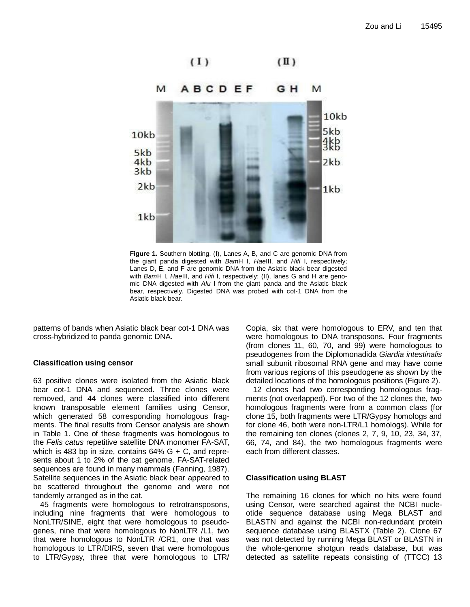



**Figure 1.** Southern blotting. (I), Lanes A, B, and C are genomic DNA from the giant panda digested with *Bam*H I, *Hae*III, and *Hifi* I, respectively; Lanes D, E, and F are genomic DNA from the Asiatic black bear digested with *Bam*H I, *Hae*III, and *Hifi* I, respectively; (II), lanes G and H are genomic DNA digested with *Alu* I from the giant panda and the Asiatic black bear, respectively. Digested DNA was probed with cot-1 DNA from the Asiatic black bear.

patterns of bands when Asiatic black bear cot-1 DNA was cross-hybridized to panda genomic DNA.

# **Classification using censor**

63 positive clones were isolated from the Asiatic black bear cot-1 DNA and sequenced. Three clones were removed, and 44 clones were classified into different known transposable element families using Censor, which generated 58 corresponding homologous fragments. The final results from Censor analysis are shown in Table 1. One of these fragments was homologous to the *Felis catus* repetitive satellite DNA monomer FA-SAT, which is 483 bp in size, contains  $64\%$  G + C, and represents about 1 to 2% of the cat genome. FA-SAT-related sequences are found in many mammals (Fanning, 1987). Satellite sequences in the Asiatic black bear appeared to be scattered throughout the genome and were not tandemly arranged as in the cat.

45 fragments were homologous to retrotransposons, including nine fragments that were homologous to NonLTR/SINE, eight that were homologous to pseudogenes, nine that were homologous to NonLTR /L1, two that were homologous to NonLTR /CR1, one that was homologous to LTR/DIRS, seven that were homologous to LTR/Gypsy, three that were homologous to LTR/ Copia, six that were homologous to ERV, and ten that were homologous to DNA transposons. Four fragments (from clones 11, 60, 70, and 99) were homologous to pseudogenes from the Diplomonadida *Giardia intestinalis* small subunit ribosomal RNA gene and may have come from various regions of this pseudogene as shown by the detailed locations of the homologous positions (Figure 2).

12 clones had two corresponding homologous fragments (not overlapped). For two of the 12 clones the, two homologous fragments were from a common class (for clone 15, both fragments were LTR/Gypsy homologs and for clone 46, both were non-LTR/L1 homologs). While for the remaining ten clones (clones 2, 7, 9, 10, 23, 34, 37, 66, 74, and 84), the two homologous fragments were each from different classes.

# **Classification using BLAST**

The remaining 16 clones for which no hits were found using Censor, were searched against the NCBI nucleotide sequence database using Mega BLAST and BLASTN and against the NCBI non-redundant protein sequence database using BLASTX (Table 2). Clone 67 was not detected by running Mega BLAST or BLASTN in the whole-genome shotgun reads database, but was detected as satellite repeats consisting of (TTCC) 13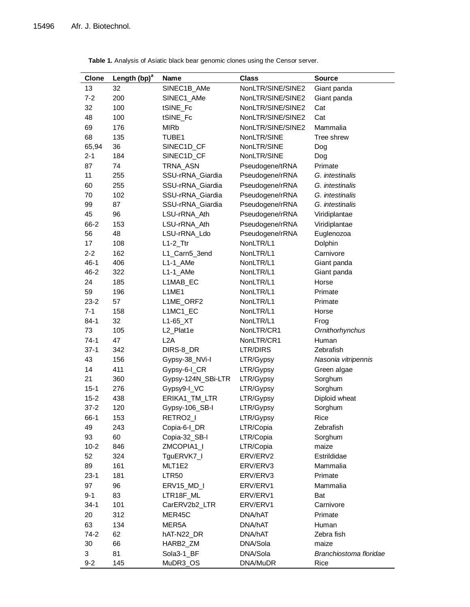| <b>Clone</b> | Length (bp) <sup>a</sup> | <b>Name</b>        | <b>Class</b>      | <b>Source</b>          |
|--------------|--------------------------|--------------------|-------------------|------------------------|
| 13           | 32                       | SINEC1B_AMe        | NonLTR/SINE/SINE2 | Giant panda            |
| $7 - 2$      | 200                      | SINEC1_AMe         | NonLTR/SINE/SINE2 | Giant panda            |
| 32           | 100                      | tSINE_Fc           | NonLTR/SINE/SINE2 | Cat                    |
| 48           | 100                      | tSINE_Fc           | NonLTR/SINE/SINE2 | Cat                    |
| 69           | 176                      | <b>MIRb</b>        | NonLTR/SINE/SINE2 | Mammalia               |
| 68           | 135                      | TUBE1              | NonLTR/SINE       | Tree shrew             |
| 65,94        | 36                       | SINEC1D_CF         | NonLTR/SINE       | Dog                    |
| $2 - 1$      | 184                      | SINEC1D_CF         | NonLTR/SINE       | Dog                    |
| 87           | 74                       | TRNA_ASN           | Pseudogene/tRNA   | Primate                |
| 11           | 255                      | SSU-rRNA_Giardia   | Pseudogene/rRNA   | G. intestinalis        |
| 60           | 255                      | SSU-rRNA_Giardia   | Pseudogene/rRNA   | G. intestinalis        |
| 70           | 102                      | SSU-rRNA_Giardia   | Pseudogene/rRNA   | G. intestinalis        |
| 99           | 87                       | SSU-rRNA_Giardia   | Pseudogene/rRNA   | G. intestinalis        |
| 45           | 96                       | LSU-rRNA_Ath       | Pseudogene/rRNA   | Viridiplantae          |
| 66-2         | 153                      | LSU-rRNA_Ath       | Pseudogene/rRNA   | Viridiplantae          |
| 56           | 48                       | LSU-rRNA_Ldo       | Pseudogene/rRNA   | Euglenozoa             |
| 17           | 108                      | $L1-2$ _Ttr        | NonLTR/L1         | Dolphin                |
| $2 - 2$      | 162                      | L1_Carn5_3end      | NonLTR/L1         | Carnivore              |
| $46 - 1$     | 406                      | $L1-1$ _AMe        | NonLTR/L1         | Giant panda            |
| $46 - 2$     | 322                      | $L1-1_AMe$         | NonLTR/L1         | Giant panda            |
| 24           | 185                      | L1MAB_EC           | NonLTR/L1         | Horse                  |
| 59           | 196                      | L1ME1              | NonLTR/L1         | Primate                |
| $23 - 2$     | 57                       | L1ME_ORF2          | NonLTR/L1         | Primate                |
| $7 - 1$      | 158                      | L1MC1_EC           | NonLTR/L1         | Horse                  |
| $84 - 1$     | 32                       | L1-65_XT           | NonLTR/L1         | Frog                   |
| 73           | 105                      | L2_Plat1e          | NonLTR/CR1        | Ornithorhynchus        |
| $74-1$       | 47                       | L2A                | NonLTR/CR1        | Human                  |
| $37-1$       | 342                      | DIRS-8_DR          | LTR/DIRS          | Zebrafish              |
| 43           | 156                      | Gypsy-38_NVi-l     | LTR/Gypsy         | Nasonia vitripennis    |
| 14           | 411                      | Gypsy-6-I_CR       | LTR/Gypsy         | Green algae            |
| 21           | 360                      | Gypsy-124N_SBi-LTR | LTR/Gypsy         | Sorghum                |
| $15 - 1$     | 276                      | Gypsy9-I_VC        | LTR/Gypsy         | Sorghum                |
| $15 - 2$     | 438                      | ERIKA1_TM_LTR      | LTR/Gypsy         | Diploid wheat          |
| $37 - 2$     | 120                      | Gypsy-106_SB-I     | LTR/Gypsy         | Sorghum                |
| $66-1$       | 153                      | RETRO2_I           | LTR/Gypsy         | Rice                   |
| 49           | 243                      | Copia-6-I_DR       | LTR/Copia         | Zebrafish              |
| 93           | 60                       | Copia-32_SB-I      | LTR/Copia         | Sorghum                |
| $10 - 2$     | 846                      | ZMCOPIA1_I         | LTR/Copia         | maize                  |
| 52           | 324                      | TguERVK7_I         | ERV/ERV2          | Estrildidae            |
| 89           | 161                      | MLT1E2             | ERV/ERV3          | Mammalia               |
| $23-1$       | 181                      | <b>LTR50</b>       | ERV/ERV3          | Primate                |
| 97           | 96                       | ERV15_MD_I         | ERV/ERV1          | Mammalia               |
| $9 - 1$      | 83                       | LTR18F_ML          | ERV/ERV1          | Bat                    |
| $34-1$       | 101                      | CarERV2b2_LTR      | ERV/ERV1          | Carnivore              |
| 20           | 312                      | MER45C             | DNA/hAT           | Primate                |
| 63           | 134                      | MER <sub>5</sub> A | DNA/hAT           | Human                  |
| $74 - 2$     | 62                       | hAT-N22_DR         | DNA/hAT           | Zebra fish             |
| 30           | 66                       | HARB2_ZM           | DNA/Sola          | maize                  |
| 3            | 81                       | Sola3-1_BF         | DNA/Sola          | Branchiostoma floridae |
| $9 - 2$      | 145                      | MuDR3_OS           | DNA/MuDR          | Rice                   |

**Table 1.** Analysis of Asiatic black bear genomic clones using the Censor server.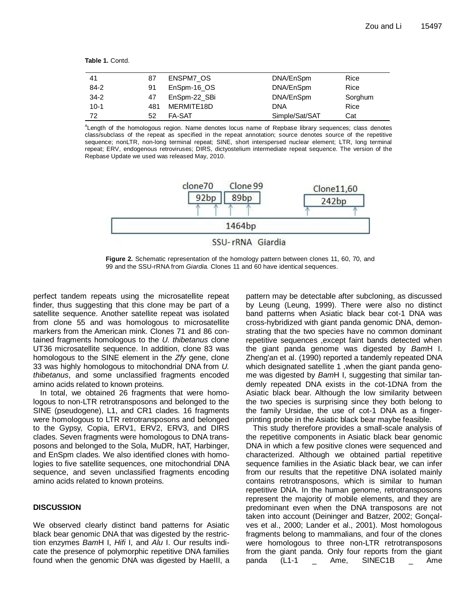**Table 1.** Contd.

| -41      | 87  | ENSPM7 OS     | DNA/EnSpm      | Rice    |
|----------|-----|---------------|----------------|---------|
| $84 - 2$ | 91  | EnSpm-16 OS   | DNA/EnSpm      | Rice    |
| $34-2$   | 47  | EnSpm-22 SBi  | DNA/EnSpm      | Sorghum |
| $10-1$   | 481 | MERMITE18D    | DNA            | Rice    |
| 72       | 52  | <b>FA-SAT</b> | Simple/Sat/SAT | Cat     |

*a* Length of the homologous region. Name denotes locus name of Repbase library sequences; class denotes class/subclass of the repeat as specified in the repeat annotation; source denotes source of the repetitive sequence; nonLTR, non-long terminal repeat; SINE, short interspersed nuclear element; LTR, long terminal repeat; ERV, endogenous retroviruses; DIRS, dictyostelium intermediate repeat sequence. The version of the Repbase Update we used was released May, 2010.



**Figure 2.** Schematic representation of the homology pattern between clones 11, 60, 70, and 99 and the SSU-rRNA from *Giardia.* Clones 11 and 60 have identical sequences.

perfect tandem repeats using the microsatellite repeat finder, thus suggesting that this clone may be part of a satellite sequence. Another satellite repeat was isolated from clone 55 and was homologous to microsatellite markers from the American mink. Clones 71 and 86 contained fragments homologous to the *U. thibetanus* clone UT36 microsatellite sequence. In addition, clone 83 was homologous to the SINE element in the *Zfy* gene, clone 33 was highly homologous to mitochondrial DNA from *U. thibetanus*, and some unclassified fragments encoded amino acids related to known proteins.

In total, we obtained 26 fragments that were homologous to non-LTR retrotransposons and belonged to the SINE (pseudogene), L1, and CR1 clades. 16 fragments were homologous to LTR retrotransposons and belonged to the Gypsy, Copia, ERV1, ERV2, ERV3, and DIRS clades. Seven fragments were homologous to DNA transposons and belonged to the Sola, MuDR, hAT, Harbinger, and EnSpm clades. We also identified clones with homologies to five satellite sequences, one mitochondrial DNA sequence, and seven unclassified fragments encoding amino acids related to known proteins.

# **DISCUSSION**

We observed clearly distinct band patterns for Asiatic black bear genomic DNA that was digested by the restriction enzymes *Bam*H I, *Hifi* I, and *Alu* I. Our results indicate the presence of polymorphic repetitive DNA families found when the genomic DNA was digested by HaeIII, a pattern may be detectable after subcloning, as discussed by Leung (Leung, 1999). There were also no distinct band patterns when Asiatic black bear cot-1 DNA was cross-hybridized with giant panda genomic DNA, demonstrating that the two species have no common dominant repetitive sequences ,except faint bands detected when the giant panda genome was digested by *Bam*H I. Zheng'an et al. (1990) reported a tandemly repeated DNA which designated satellite 1, when the giant panda genome was digested by *Bam*H I, suggesting that similar tandemly repeated DNA exists in the cot-1DNA from the Asiatic black bear. Although the low similarity between the two species is surprising since they both belong to the family Ursidae, the use of cot-1 DNA as a fingerprinting probe in the Asiatic black bear maybe feasible.

This study therefore provides a small-scale analysis of the repetitive components in Asiatic black bear genomic DNA in which a few positive clones were sequenced and characterized. Although we obtained partial repetitive sequence families in the Asiatic black bear, we can infer from our results that the repetitive DNA isolated mainly contains retrotransposons, which is similar to human repetitive DNA. In the human genome, retrotransposons represent the majority of mobile elements, and they are predominant even when the DNA transposons are not taken into account (Deininger and Batzer, 2002; Gonçalves et al., 2000; Lander et al., 2001). Most homologous fragments belong to mammalians, and four of the clones were homologous to three non-LTR retrotransposons from the giant panda. Only four reports from the giant panda (L1-1 \_ Ame, SINEC1B \_ Ame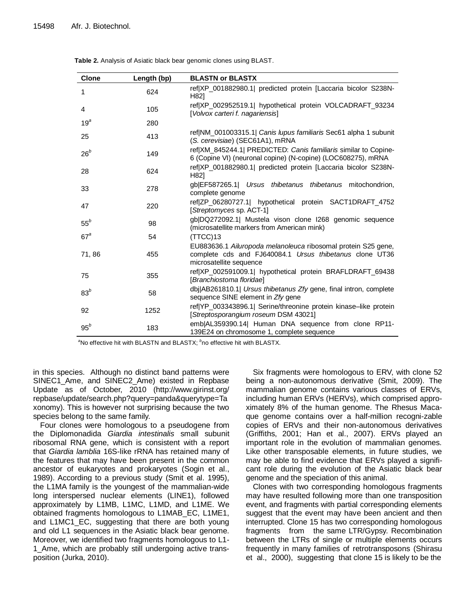| <b>Clone</b>    | Length (bp) | <b>BLASTN or BLASTX</b>                                                                                                                             |
|-----------------|-------------|-----------------------------------------------------------------------------------------------------------------------------------------------------|
| 1               | 624         | ref XP_001882980.1 predicted protein [Laccaria bicolor S238N-<br>H821                                                                               |
| 4               | 105         | ref XP_002952519.1  hypothetical protein VOLCADRAFT_93234<br>[Volvox carteri f. nagariensis]                                                        |
| 19 <sup>a</sup> | 280         |                                                                                                                                                     |
| 25              | 413         | ref NM_001003315.1  Canis lupus familiaris Sec61 alpha 1 subunit<br>(S. cerevisiae) (SEC61A1), mRNA                                                 |
| $26^b$          | 149         | ref XM_845244.1  PREDICTED: Canis familiaris similar to Copine-<br>6 (Copine VI) (neuronal copine) (N-copine) (LOC608275), mRNA                     |
| 28              | 624         | ref XP_001882980.1  predicted protein [Laccaria bicolor S238N-<br>H82]                                                                              |
| 33              | 278         | gb EF587265.1  Ursus thibetanus thibetanus mitochondrion,<br>complete genome                                                                        |
| 47              | 220         | ref ZP_06280727.1  hypothetical protein SACT1DRAFT_4752<br>[Streptomyces sp. ACT-1]                                                                 |
| $55^b$          | 98          | gb DQ272092.1  Mustela vison clone I268 genomic sequence<br>(microsatellite markers from American mink)                                             |
| $67^{\circ}$    | 54          | (TTCC)13                                                                                                                                            |
| 71,86           | 455         | EU883636.1 Ailuropoda melanoleuca ribosomal protein S25 gene,<br>complete cds and FJ640084.1 Ursus thibetanus clone UT36<br>microsatellite sequence |
| 75              | 355         | ref XP_002591009.1  hypothetical protein BRAFLDRAFT_69438<br>[Branchiostoma floridae]                                                               |
| $83^b$          | 58          | dbj AB261810.1  Ursus thibetanus Zfy gene, final intron, complete<br>sequence SINE element in Zfy gene                                              |
| 92              | 1252        | ref YP_003343896.1  Serine/threonine protein kinase-like protein<br>[Streptosporangium roseum DSM 43021]                                            |
| $95^b$          | 183         | emb AL359390.14  Human DNA sequence from clone RP11-<br>139E24 on chromosome 1, complete sequence                                                   |

**Table 2.** Analysis of Asiatic black bear genomic clones using BLAST.

<sup>a</sup>No effective hit with BLASTN and BLASTX; <sup>b</sup>no effective hit with BLASTX.

in this species. Although no distinct band patterns were SINEC1\_Ame, and SINEC2\_Ame) existed in Repbase Update as of October, 2010 (http://www.girinst.org/ repbase/update/search.php?query=panda&querytype=Ta xonomy). This is however not surprising because the two species belong to the same family.

Four clones were homologous to a pseudogene from the Diplomonadida *Giardia intestinalis* small subunit ribosomal RNA gene, which is consistent with a report that *Giardia lamblia* 16S-like rRNA has retained many of the features that may have been present in the common ancestor of eukaryotes and prokaryotes (Sogin et al., 1989). According to a previous study (Smit et al. 1995), the L1MA family is the youngest of the mammalian-wide long interspersed nuclear elements (LINE1), followed approximately by L1MB, L1MC, L1MD, and L1ME. We obtained fragments homologous to L1MAB\_EC, L1ME1, and L1MC1\_EC, suggesting that there are both young and old L1 sequences in the Asiatic black bear genome. Moreover, we identified two fragments homologous to L1- 1 Ame, which are probably still undergoing active transposition (Jurka, 2010).

Six fragments were homologous to ERV, with clone 52 being a non-autonomous derivative (Smit, 2009). The mammalian genome contains various classes of ERVs, including human ERVs (HERVs), which comprised approximately 8% of the human genome. The Rhesus Macaque genome contains over a half-million recogni-zable copies of ERVs and their non-autonomous derivatives (Griffiths, 2001; Han et al., 2007). ERVs played an important role in the evolution of mammalian genomes. Like other transposable elements, in future studies, we may be able to find evidence that ERVs played a significant role during the evolution of the Asiatic black bear genome and the speciation of this animal.

Clones with two corresponding homologous fragments may have resulted following more than one transposition event, and fragments with partial corresponding elements suggest that the event may have been ancient and then interrupted. Clone 15 has two corresponding homologous fragments from the same LTR/Gypsy. Recombination between the LTRs of single or multiple elements occurs frequently in many families of retrotransposons (Shirasu et al., 2000), suggesting that clone 15 is likely to be the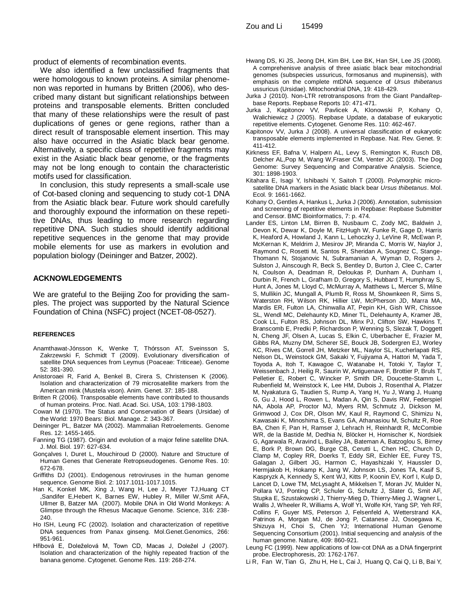product of elements of recombination events.

We also identified a few unclassified fragments that were homologous to known proteins. A similar phenomenon was reported in humans by Britten (2006), who described many distant but significant relationships between proteins and transposable elements. Britten concluded that many of these relationships were the result of past duplications of genes or gene regions, rather than a direct result of transposable element insertion. This may also have occurred in the Asiatic black bear genome. Alternatively, a specific class of repetitive fragments may exist in the Asiatic black bear genome, or the fragments may not be long enough to contain the characteristic motifs used for classification.

In conclusion, this study represents a small-scale use of Cot-based cloning and sequencing to study cot-1 DNA from the Asiatic black bear. Future work should carefully and thoroughly expound the information on these repetitive DNAs, thus leading to more research regarding repetitive DNA. Such studies should identify additional repetitive sequences in the genome that may provide mobile elements for use as markers in evolution and population biology (Deininger and Batzer, 2002).

# **ACKNOWLEDGEMENTS**

We are grateful to the Beijing Zoo for providing the samples. The project was supported by the Natural Science Foundation of China (NSFC) project (NCET-08-0527).

#### **REFERENCES**

- Anamthawat-Jónsson K, Wenke T, Thórsson AT, Sveinsson S, Zakrzewski F, Schmidt T (2009). Evolutionary diversification of satellite DNA sequences from Leymus (Poaceae: Triticeae). Genome 52: 381-390.
- Anistoroaei R, Farid A, Benkel B, Cirera S, Christensen K (2006). Isolation and characterization of 79 microsatellite markers from the American mink (Mustela vison). Anim. Genet. 37: 185-188.
- Britten R (2006). Transposable elements have contributed to thousands of human proteins. Proc. Natl. Acad. Sci. USA, 103: 1798-1803.
- Cowan M (1970). The Status and Conservation of Bears (Ursidae) of the World: 1970 Bears: Biol. Manage. 2: 343-367.
- Deininger PL, Batzer MA (2002). Mammalian Retroelements. Genome Res. 12: 1455-1465.
- Fanning TG (1987). Origin and evolution of a major feline satellite DNA. J. Mol. Biol. 197: 627-634.
- Gonçalves I, Duret L, Mouchiroud D (2000). Nature and Structure of Human Genes that Generate Retropseudogenes. Genome Res. 10: 672-678.
- Griffiths DJ (2001). Endogenous retroviruses in the human genome sequence. Genome Biol. 2: 1017.1011-1017.1015.
- Han K, Konkel MK, Xing J, Wang H, Lee J, Meyer TJ,Huang CT ,Sandifer E,Hebert K, Barnes EW, Hubley R, Miller W,Smit AFA, Ullmer B, Batzer MA (2007). Mobile DNA in Old World Monkeys: A Glimpse through the Rhesus Macaque Genome. Science, 316: 238- 240.
- Ho ISH, Leung FC (2002). Isolation and characterization of repetitive DNA sequences from Panax ginseng. Mol.Genet.Genomics, 266: 951-961.
- Hřibová E, Doleželová M, Town CD, Macas J, Doležel J (2007). Isolation and characterization of the highly repeated fraction of the banana genome. Cytogenet. Genome Res. 119: 268-274.
- Hwang DS, Ki JS, Jeong DH, Kim BH, Lee BK, Han SH, Lee JS (2008). A comprehenisve analysis of three asiatic black bear mitochondrial genomes (subspecies ussuricus, formosanus and mupinensis), with emphasis on the complete mtDNA sequence of *Ursus thibetanus* ussuricus (Ursidae). Mitochondrial DNA, 19: 418-429.
- Jurka J (2010). Non-LTR retrotransposons from the Giant PandaRepbase Reports. Repbase Reports 10: 471-471.
- Jurka J, Kapitonov VV, Pavlicek A, Klonowski P, Kohany O, Walichiewicz J (2005). Repbase Update, a database of eukaryotic repetitive elements. Cytogenet. Genome Res. 110: 462-467.
- Kapitonov VV, Jurka J (2008). A universal classification of eukaryotic transposable elements implemented in Repbase. Nat. Rev. Genet. 9: 411-412.
- Kirkness EF, Bafna V, Halpern AL, Levy S, Remington K, Rusch DB, Delcher AL,Pop M, Wang W,Fraser CM, Venter JC (2003). The Dog Genome: Survey Sequencing and Comparative Analysis. Science, 301: 1898-1903.
- Kitahara E, Isagi Y, Ishibashi Y, Saitoh T (2000). Polymorphic microsatellite DNA markers in the Asiatic black bear *Ursus thibetanus*. Mol. Ecol. 9: 1661-1662.
- Kohany O, Gentles A, Hankus L, Jurka J (2006). Annotation, submission and screening of repetitive elements in Repbase: Repbase Submitter and Censor. BMC Bioinformatics, 7: p. 474.
- Lander ES, Linton LM, Birren B, Nusbaum C, Zody MC, Baldwin J, Devon K, Dewar K, Doyle M, FitzHugh W, Funke R, Gage D, Harris K, Heaford A, Howland J, Kann L, Lehoczky J, LeVine R, McEwan P, McKernan K, Meldrim J, Mesirov JP, Miranda C, Morris W, Naylor J, Raymond C, Rosetti M, Santos R, Sheridan A, Sougnez C, Stange-Thomann N, Stojanovic N, Subramanian A, Wyman D, Rogers J, Sulston J, Ainscough R, Beck S, Bentley D, Burton J, Clee C, Carter N, Coulson A, Deadman R, Deloukas P, Dunham A, Dunham I, Durbin R, French L, Grafham D, Gregory S, Hubbard T, Humphray S, Hunt A, Jones M, Lloyd C, McMurray A, Matthews L, Mercer S, Milne S, Mullikin JC, Mungall A, Plumb R, Ross M, Shownkeen R, Sims S, Waterston RH, Wilson RK, Hillier LW, McPherson JD, Marra MA, Mardis ER, Fulton LA, Chinwalla AT, Pepin KH, Gish WR, Chissoe SL, Wendl MC, Delehaunty KD, Miner TL, Delehaunty A, Kramer JB, Cook LL, Fulton RS, Johnson DL, Minx PJ, Clifton SW, Hawkins T, Branscomb E, Predki P, Richardson P, Wenning S, Slezak T, Doggett N, Cheng JF, Olsen A, Lucas S, Elkin C, Uberbacher E, Frazier M, Gibbs RA, Muzny DM, Scherer SE, Bouck JB, Sodergren EJ, Worley KC, Rives CM, Gorrell JH, Metzker ML, Naylor SL, Kucherlapati RS, Nelson DL, Weinstock GM, Sakaki Y, Fujiyama A, Hattori M, Yada T, Toyoda A, Itoh T, Kawagoe C, Watanabe H, Totoki Y, Taylor T, Weissenbach J, Heilig R, Saurin W, Artiguenave F, Brottier P, Bruls T, Pelletier E, Robert C, Wincker P, Smith DR, Doucette-Stamm L, Rubenfield M, Weinstock K, Lee HM, Dubois J, Rosenthal A, Platzer M, Nyakatura G, Taudien S, Rump A, Yang H, Yu J, Wang J, Huang G, Gu J, Hood L, Rowen L, Madan A, Qin S, Davis RW, Federspiel NA, Abola AP, Proctor MJ, Myers RM, Schmutz J, Dickson M, Grimwood J, Cox DR, Olson MV, Kaul R, Raymond C, Shimizu N, Kawasaki K, Minoshima S, Evans GA, Athanasiou M, Schultz R, Roe BA, Chen F, Pan H, Ramser J, Lehrach H, Reinhardt R, McCombie WR, de la Bastide M, Dedhia N, Blöcker H, Hornischer K, Nordsiek G, Agarwala R, Aravind L, Bailey JA, Bateman A, Batzoglou S, Birney E, Bork P, Brown DG, Burge CB, Cerutti L, Chen HC, Church D, Clamp M, Copley RR, Doerks T, Eddy SR, Eichler EE, Furey TS, Galagan J, Gilbert JG, Harmon C, Hayashizaki Y, Haussler D, Hermjakob H, Hokamp K, Jang W, Johnson LS, Jones TA, Kasif S, Kaspryzk A, Kennedy S, Kent WJ, Kitts P, Koonin EV, Korf I, Kulp D, Lancet D, Lowe TM, McLysaght A, Mikkelsen T, Moran JV, Mulder N, Pollara VJ, Ponting CP, Schuler G, Schultz J, Slater G, Smit AF, Stupka E, Szustakowski J, Thierry-Mieg D, Thierry-Mieg J, Wagner L, Wallis J, Wheeler R, Williams A, Wolf YI, Wolfe KH, Yang SP, Yeh RF, Collins F, Guyer MS, Peterson J, Felsenfeld A, Wetterstrand KA, Patrinos A, Morgan MJ, de Jong P, Catanese JJ, Osoegawa K, Shizuya H, Choi S, Chen YJ; International Human Genome Sequencing Consortium (2001). Initial sequencing and analysis of the human genome. Nature, 409: 860-921.
- Leung FC (1999). New applications of low-cot DNA as a DNA fingerprint probe. Electrophoresis, 20: 1762-1767.
- Li R, Fan W, Tian G, Zhu H, He L, Cai J, Huang Q, Cai Q, Li B, Bai Y,